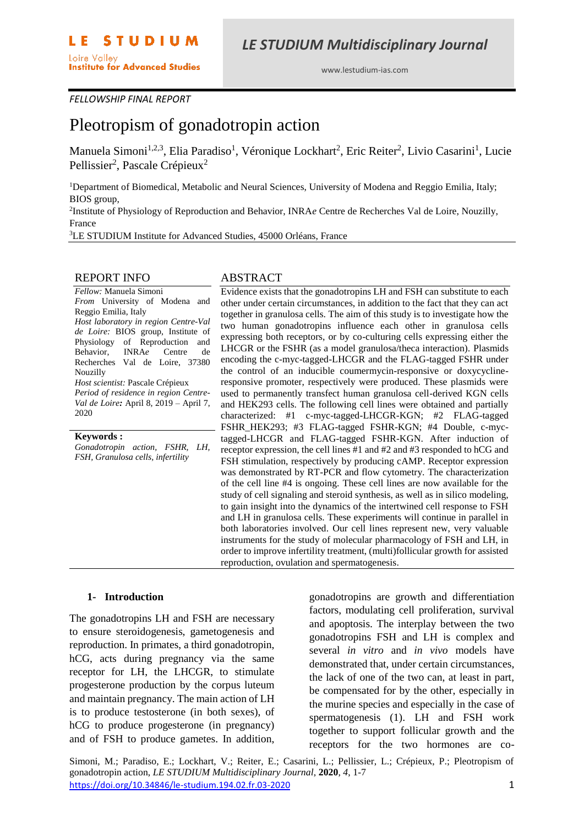www.lestudium-ias.com

#### *FELLOWSHIP FINAL REPORT*

# Pleotropism of gonadotropin action

Manuela Simoni<sup>1,2,3</sup>, Elia Paradiso<sup>1</sup>, Véronique Lockhart<sup>2</sup>, Eric Reiter<sup>2</sup>, Livio Casarini<sup>1</sup>, Lucie Pellissier<sup>2</sup>, Pascale Crépieux<sup>2</sup>

<sup>1</sup>Department of Biomedical, Metabolic and Neural Sciences, University of Modena and Reggio Emilia, Italy; BIOS group,

2 Institute of Physiology of Reproduction and Behavior, INRA*e* Centre de Recherches Val de Loire, Nouzilly, France

<sup>3</sup>LE STUDIUM Institute for Advanced Studies, 45000 Orléans, France

#### REPORT INFO

*Fellow:* Manuela Simoni *From* University of Modena and Reggio Emilia, Italy *Host laboratory in region Centre-Val de Loire:* BIOS group, Institute of Physiology of Reproduction and Behavior, INRA*e* Centre de Recherches Val de Loire, 37380 Nouzilly *Host scientist:* Pascale Crépieux *Period of residence in region Centre-Val de Loire:* April 8, 2019 – April 7, 2020

#### **Keywords :**

*Gonadotropin action, FSHR, LH, FSH, Granulosa cells, infertility*

#### ABSTRACT

Evidence exists that the gonadotropins LH and FSH can substitute to each other under certain circumstances, in addition to the fact that they can act together in granulosa cells. The aim of this study is to investigate how the two human gonadotropins influence each other in granulosa cells expressing both receptors, or by co-culturing cells expressing either the LHCGR or the FSHR (as a model granulosa/theca interaction). Plasmids encoding the c-myc-tagged-LHCGR and the FLAG-tagged FSHR under the control of an inducible coumermycin-responsive or doxycyclineresponsive promoter, respectively were produced. These plasmids were used to permanently transfect human granulosa cell-derived KGN cells and HEK293 cells. The following cell lines were obtained and partially characterized: #1 c-myc-tagged-LHCGR-KGN; #2 FLAG-tagged FSHR\_HEK293; #3 FLAG-tagged FSHR-KGN; #4 Double, c-myctagged-LHCGR and FLAG-tagged FSHR-KGN. After induction of receptor expression, the cell lines #1 and #2 and #3 responded to hCG and FSH stimulation, respectively by producing cAMP. Receptor expression was demonstrated by RT-PCR and flow cytometry. The characterization of the cell line #4 is ongoing. These cell lines are now available for the study of cell signaling and steroid synthesis, as well as in silico modeling, to gain insight into the dynamics of the intertwined cell response to FSH and LH in granulosa cells. These experiments will continue in parallel in both laboratories involved. Our cell lines represent new, very valuable instruments for the study of molecular pharmacology of FSH and LH, in order to improve infertility treatment, (multi)follicular growth for assisted reproduction, ovulation and spermatogenesis.

#### **1- Introduction**

The gonadotropins LH and FSH are necessary to ensure steroidogenesis, gametogenesis and reproduction. In primates, a third gonadotropin, hCG, acts during pregnancy via the same receptor for LH, the LHCGR, to stimulate progesterone production by the corpus luteum and maintain pregnancy. The main action of LH is to produce testosterone (in both sexes), of hCG to produce progesterone (in pregnancy) and of FSH to produce gametes. In addition, gonadotropins are growth and differentiation factors, modulating cell proliferation, survival and apoptosis. The interplay between the two gonadotropins FSH and LH is complex and several *in vitro* and *in vivo* models have demonstrated that, under certain circumstances, the lack of one of the two can, at least in part, be compensated for by the other, especially in the murine species and especially in the case of spermatogenesis (1). LH and FSH work together to support follicular growth and the receptors for the two hormones are co-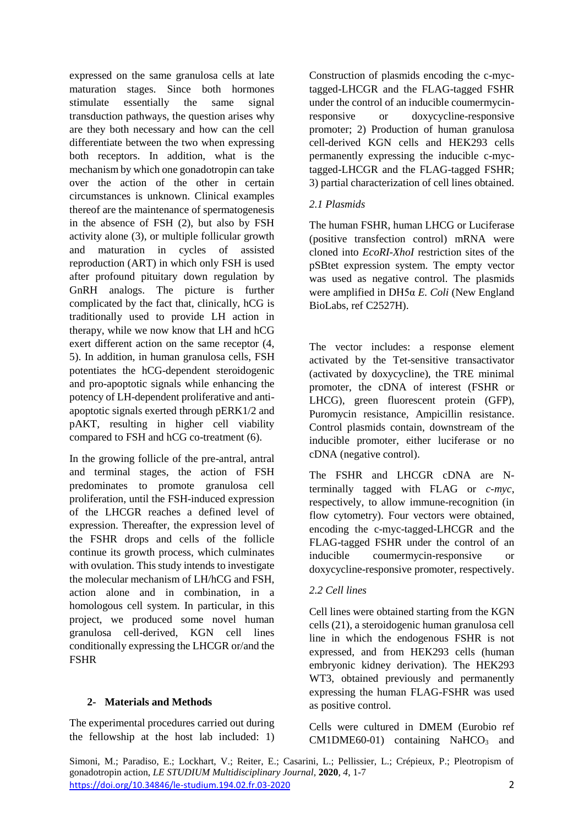expressed on the same granulosa cells at late maturation stages. Since both hormones stimulate essentially the same signal transduction pathways, the question arises why are they both necessary and how can the cell differentiate between the two when expressing both receptors. In addition, what is the mechanism by which one gonadotropin can take over the action of the other in certain circumstances is unknown. Clinical examples thereof are the maintenance of spermatogenesis in the absence of FSH (2), but also by FSH activity alone (3), or multiple follicular growth and maturation in cycles of assisted reproduction (ART) in which only FSH is used after profound pituitary down regulation by GnRH analogs. The picture is further complicated by the fact that, clinically, hCG is traditionally used to provide LH action in therapy, while we now know that LH and hCG exert different action on the same receptor (4, 5). In addition, in human granulosa cells, FSH potentiates the hCG-dependent steroidogenic and pro-apoptotic signals while enhancing the potency of LH-dependent proliferative and antiapoptotic signals exerted through pERK1/2 and pAKT, resulting in higher cell viability compared to FSH and hCG co-treatment (6).

In the growing follicle of the pre-antral, antral and terminal stages, the action of FSH predominates to promote granulosa cell proliferation, until the FSH-induced expression of the LHCGR reaches a defined level of expression. Thereafter, the expression level of the FSHR drops and cells of the follicle continue its growth process, which culminates with ovulation. This study intends to investigate the molecular mechanism of LH/hCG and FSH, action alone and in combination, in a homologous cell system. In particular, in this project, we produced some novel human granulosa cell-derived, KGN cell lines conditionally expressing the LHCGR or/and the FSHR

## **2- Materials and Methods**

The experimental procedures carried out during the fellowship at the host lab included: 1)

Construction of plasmids encoding the c-myctagged-LHCGR and the FLAG-tagged FSHR under the control of an inducible coumermycinresponsive or doxycycline-responsive promoter; 2) Production of human granulosa cell-derived KGN cells and HEK293 cells permanently expressing the inducible c-myctagged-LHCGR and the FLAG-tagged FSHR; 3) partial characterization of cell lines obtained.

# *2.1 Plasmids*

The human FSHR, human LHCG or Luciferase (positive transfection control) mRNA were cloned into *EcoRI-XhoI* restriction sites of the pSBtet expression system. The empty vector was used as negative control. The plasmids were amplified in DH5α *E. Coli* (New England BioLabs, ref C2527H).

The vector includes: a response element activated by the Tet-sensitive transactivator (activated by doxycycline), the TRE minimal promoter, the cDNA of interest (FSHR or LHCG), green fluorescent protein (GFP), Puromycin resistance, Ampicillin resistance. Control plasmids contain, downstream of the inducible promoter, either luciferase or no cDNA (negative control).

The FSHR and LHCGR cDNA are Nterminally tagged with FLAG or *c-myc*, respectively, to allow immune-recognition (in flow cytometry). Four vectors were obtained, encoding the c-myc-tagged-LHCGR and the FLAG-tagged FSHR under the control of an inducible coumermycin-responsive or doxycycline-responsive promoter, respectively.

## *2.2 Cell lines*

Cell lines were obtained starting from the KGN cells (21), a steroidogenic human granulosa cell line in which the endogenous FSHR is not expressed, and from HEK293 cells (human embryonic kidney derivation). The HEK293 WT3, obtained previously and permanently expressing the human FLAG-FSHR was used as positive control.

Cells were cultured in DMEM (Eurobio ref  $CM1DME60-01$  containing NaHCO<sub>3</sub> and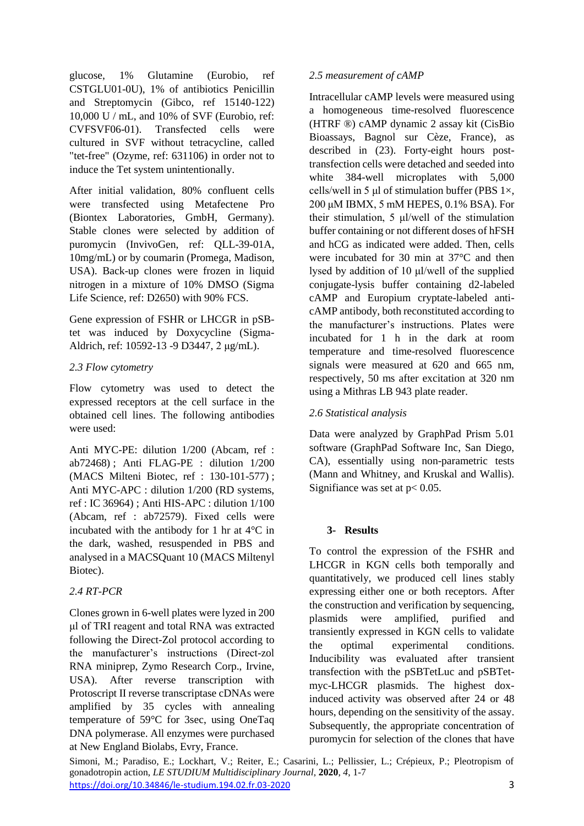glucose, 1% Glutamine (Eurobio, ref CSTGLU01-0U), 1% of antibiotics Penicillin and Streptomycin (Gibco, ref 15140-122) 10,000 U / mL, and 10% of SVF (Eurobio, ref: CVFSVF06-01). Transfected cells were cultured in SVF without tetracycline, called "tet-free" (Ozyme, ref: 631106) in order not to induce the Tet system unintentionally.

After initial validation, 80% confluent cells were transfected using Metafectene Pro (Biontex Laboratories, GmbH, Germany). Stable clones were selected by addition of puromycin (InvivoGen, ref: QLL-39-01A, 10mg/mL) or by coumarin (Promega, Madison, USA). Back-up clones were frozen in liquid nitrogen in a mixture of 10% DMSO (Sigma Life Science, ref: D2650) with 90% FCS.

Gene expression of FSHR or LHCGR in pSBtet was induced by Doxycycline (Sigma-Aldrich, ref: 10592-13 -9 D3447, 2 μg/mL).

# *2.3 Flow cytometry*

Flow cytometry was used to detect the expressed receptors at the cell surface in the obtained cell lines. The following antibodies were used:

Anti MYC-PE: dilution 1/200 (Abcam, ref : ab72468) ; Anti FLAG-PE : dilution 1/200 (MACS Milteni Biotec, ref : 130-101-577) ; Anti MYC-APC : dilution 1/200 (RD systems, ref : IC 36964) ; Anti HIS-APC : dilution 1/100 (Abcam, ref : ab72579). Fixed cells were incubated with the antibody for 1 hr at 4°C in the dark, washed, resuspended in PBS and analysed in a MACSQuant 10 (MACS Miltenyl Biotec).

# *2.4 RT-PCR*

Clones grown in 6-well plates were lyzed in 200 μl of TRI reagent and total RNA was extracted following the Direct-Zol protocol according to the manufacturer's instructions (Direct-zol RNA miniprep, Zymo Research Corp., Irvine, USA). After reverse transcription with Protoscript II reverse transcriptase cDNAs were amplified by 35 cycles with annealing temperature of 59°C for 3sec, using OneTaq DNA polymerase. All enzymes were purchased at New England Biolabs, Evry, France.

# *2.5 measurement of cAMP*

Intracellular cAMP levels were measured using a homogeneous time-resolved fluorescence (HTRF ®) cAMP dynamic 2 assay kit (CisBio Bioassays, Bagnol sur Cèze, France), as described in (23). Forty-eight hours posttransfection cells were detached and seeded into white 384-well microplates with 5,000 cells/well in 5 μl of stimulation buffer (PBS  $1\times$ , 200 μM IBMX, 5 mM HEPES, 0.1% BSA). For their stimulation, 5 μl/well of the stimulation buffer containing or not different doses of hFSH and hCG as indicated were added. Then, cells were incubated for 30 min at 37°C and then lysed by addition of 10 μl/well of the supplied conjugate-lysis buffer containing d2-labeled cAMP and Europium cryptate-labeled anticAMP antibody, both reconstituted according to the manufacturer's instructions. Plates were incubated for 1 h in the dark at room temperature and time-resolved fluorescence signals were measured at 620 and 665 nm, respectively, 50 ms after excitation at 320 nm using a Mithras LB 943 plate reader.

# *2.6 Statistical analysis*

Data were analyzed by GraphPad Prism 5.01 software (GraphPad Software Inc, San Diego, CA), essentially using non-parametric tests (Mann and Whitney, and Kruskal and Wallis). Signifiance was set at  $p < 0.05$ .

# **3- Results**

To control the expression of the FSHR and LHCGR in KGN cells both temporally and quantitatively, we produced cell lines stably expressing either one or both receptors. After the construction and verification by sequencing, plasmids were amplified, purified and transiently expressed in KGN cells to validate the optimal experimental conditions. Inducibility was evaluated after transient transfection with the pSBTetLuc and pSBTetmyc-LHCGR plasmids. The highest doxinduced activity was observed after 24 or 48 hours, depending on the sensitivity of the assay. Subsequently, the appropriate concentration of puromycin for selection of the clones that have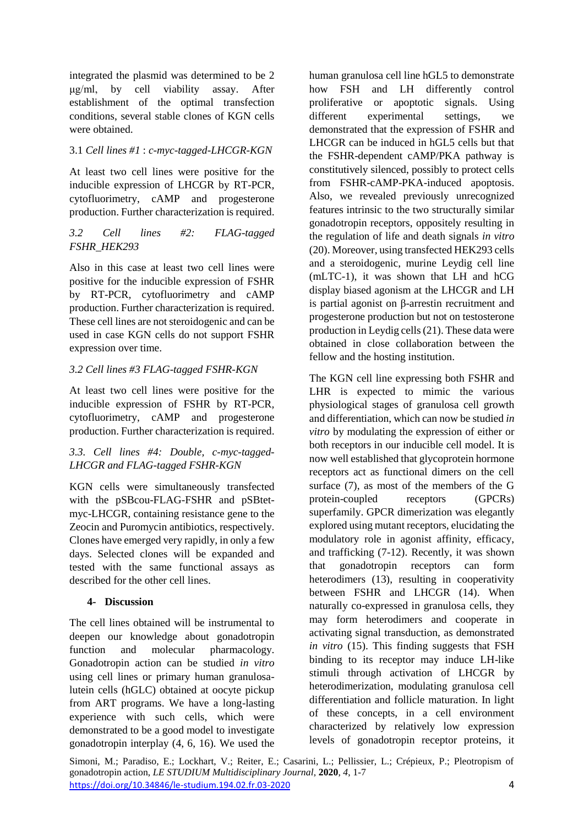integrated the plasmid was determined to be 2 μg/ml, by cell viability assay. After establishment of the optimal transfection conditions, several stable clones of KGN cells were obtained.

# 3.1 *Cell lines #1* : *c-myc-tagged-LHCGR-KGN*

At least two cell lines were positive for the inducible expression of LHCGR by RT-PCR*,*  cytofluorimetry, cAMP and progesterone production. Further characterization is required.

# *3.2 Cell lines #2: FLAG-tagged FSHR\_HEK293*

Also in this case at least two cell lines were positive for the inducible expression of FSHR by RT-PCR*,* cytofluorimetry and cAMP production. Further characterization is required. These cell lines are not steroidogenic and can be used in case KGN cells do not support FSHR expression over time.

# *3.2 Cell lines #3 FLAG-tagged FSHR-KGN*

At least two cell lines were positive for the inducible expression of FSHR by RT-PCR*,*  cytofluorimetry, cAMP and progesterone production. Further characterization is required.

## *3.3. Cell lines #4: Double, c-myc-tagged-LHCGR and FLAG-tagged FSHR-KGN*

KGN cells were simultaneously transfected with the pSBcou-FLAG-FSHR and pSBtetmyc-LHCGR, containing resistance gene to the Zeocin and Puromycin antibiotics, respectively. Clones have emerged very rapidly, in only a few days. Selected clones will be expanded and tested with the same functional assays as described for the other cell lines.

# **4- Discussion**

The cell lines obtained will be instrumental to deepen our knowledge about gonadotropin function and molecular pharmacology. Gonadotropin action can be studied *in vitro* using cell lines or primary human granulosalutein cells (hGLC) obtained at oocyte pickup from ART programs. We have a long-lasting experience with such cells, which were demonstrated to be a good model to investigate gonadotropin interplay (4, 6, 16). We used the

human granulosa cell line hGL5 to demonstrate how FSH and LH differently control proliferative or apoptotic signals. Using different experimental settings, we demonstrated that the expression of FSHR and LHCGR can be induced in hGL5 cells but that the FSHR-dependent cAMP/PKA pathway is constitutively silenced, possibly to protect cells from FSHR-cAMP-PKA-induced apoptosis. Also, we revealed previously unrecognized features intrinsic to the two structurally similar gonadotropin receptors, oppositely resulting in the regulation of life and death signals *in vitro* (20). Moreover, using transfected HEK293 cells and a steroidogenic, murine Leydig cell line (mLTC-1), it was shown that LH and hCG display biased agonism at the LHCGR and LH is partial agonist on β-arrestin recruitment and progesterone production but not on testosterone production in Leydig cells (21). These data were obtained in close collaboration between the fellow and the hosting institution.

The KGN cell line expressing both FSHR and LHR is expected to mimic the various physiological stages of granulosa cell growth and differentiation, which can now be studied *in vitro* by modulating the expression of either or both receptors in our inducible cell model. It is now well established that glycoprotein hormone receptors act as functional dimers on the cell surface (7), as most of the members of the G protein-coupled receptors (GPCRs) superfamily. GPCR dimerization was elegantly explored using mutant receptors, elucidating the modulatory role in agonist affinity, efficacy, and trafficking (7-12). Recently, it was shown that gonadotropin receptors can form heterodimers (13), resulting in cooperativity between FSHR and LHCGR (14). When naturally co-expressed in granulosa cells, they may form heterodimers and cooperate in activating signal transduction, as demonstrated *in vitro* (15). This finding suggests that FSH binding to its receptor may induce LH-like stimuli through activation of LHCGR by heterodimerization, modulating granulosa cell differentiation and follicle maturation. In light of these concepts, in a cell environment characterized by relatively low expression levels of gonadotropin receptor proteins, it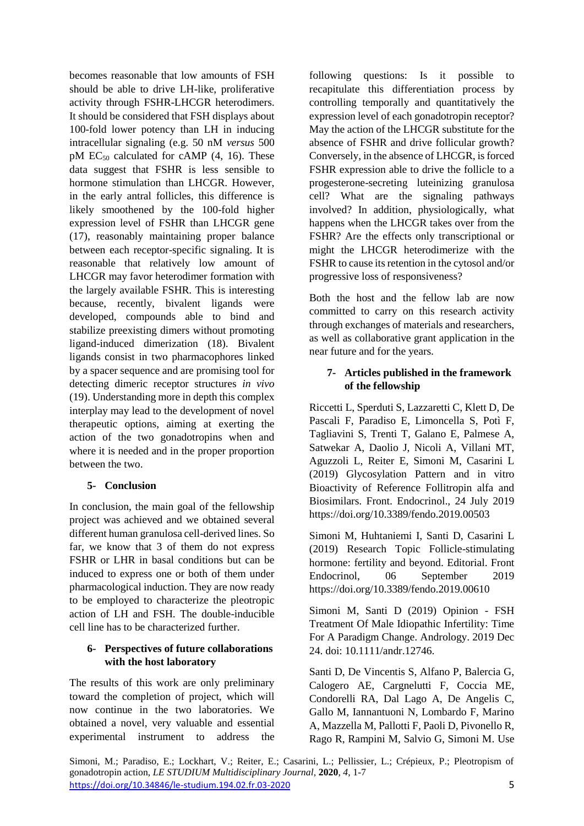becomes reasonable that low amounts of FSH should be able to drive LH-like, proliferative activity through FSHR-LHCGR heterodimers. It should be considered that FSH displays about 100-fold lower potency than LH in inducing intracellular signaling (e.g. 50 nM *versus* 500 pM  $EC_{50}$  calculated for cAMP (4, 16). These data suggest that FSHR is less sensible to hormone stimulation than LHCGR. However, in the early antral follicles, this difference is likely smoothened by the 100-fold higher expression level of FSHR than LHCGR gene (17), reasonably maintaining proper balance between each receptor-specific signaling. It is reasonable that relatively low amount of LHCGR may favor heterodimer formation with the largely available FSHR. This is interesting because, recently, bivalent ligands were developed, compounds able to bind and stabilize preexisting dimers without promoting ligand-induced dimerization (18). Bivalent ligands consist in two pharmacophores linked by a spacer sequence and are promising tool for detecting dimeric receptor structures *in vivo* (19). Understanding more in depth this complex interplay may lead to the development of novel therapeutic options, aiming at exerting the action of the two gonadotropins when and where it is needed and in the proper proportion between the two.

## **5- Conclusion**

In conclusion, the main goal of the fellowship project was achieved and we obtained several different human granulosa cell-derived lines. So far, we know that 3 of them do not express FSHR or LHR in basal conditions but can be induced to express one or both of them under pharmacological induction. They are now ready to be employed to characterize the pleotropic action of LH and FSH. The double-inducible cell line has to be characterized further.

## **6- Perspectives of future collaborations with the host laboratory**

The results of this work are only preliminary toward the completion of project, which will now continue in the two laboratories. We obtained a novel, very valuable and essential experimental instrument to address the

following questions: Is it possible to recapitulate this differentiation process by controlling temporally and quantitatively the expression level of each gonadotropin receptor? May the action of the LHCGR substitute for the absence of FSHR and drive follicular growth? Conversely, in the absence of LHCGR, is forced FSHR expression able to drive the follicle to a progesterone-secreting luteinizing granulosa cell? What are the signaling pathways involved? In addition, physiologically, what happens when the LHCGR takes over from the FSHR? Are the effects only transcriptional or might the LHCGR heterodimerize with the FSHR to cause its retention in the cytosol and/or progressive loss of responsiveness?

Both the host and the fellow lab are now committed to carry on this research activity through exchanges of materials and researchers, as well as collaborative grant application in the near future and for the years.

# **7- Articles published in the framework of the fellowship**

Riccetti L, Sperduti S, Lazzaretti C, Klett D, De Pascali F, Paradiso E, Limoncella S, Potì F, Tagliavini S, Trenti T, Galano E, Palmese A, Satwekar A, Daolio J, Nicoli A, Villani MT, Aguzzoli L, Reiter E, Simoni M, Casarini L (2019) Glycosylation Pattern and in vitro Bioactivity of Reference Follitropin alfa and Biosimilars. Front. Endocrinol., 24 July 2019 https://doi.org/10.3389/fendo.2019.00503

Simoni M, Huhtaniemi I, Santi D, Casarini L (2019) Research Topic Follicle-stimulating hormone: fertility and beyond. Editorial. Front Endocrinol, 06 September 2019 https://doi.org/10.3389/fendo.2019.00610

Simoni M, Santi D (2019) Opinion - FSH Treatment Of Male Idiopathic Infertility: Time For A Paradigm Change. Andrology. 2019 Dec 24. doi: 10.1111/andr.12746.

Santi D, De Vincentis S, Alfano P, Balercia G, Calogero AE, Cargnelutti F, Coccia ME, Condorelli RA, Dal Lago A, De Angelis C, Gallo M, Iannantuoni N, Lombardo F, Marino A, Mazzella M, Pallotti F, Paoli D, Pivonello R, Rago R, Rampini M, Salvio G, Simoni M. Use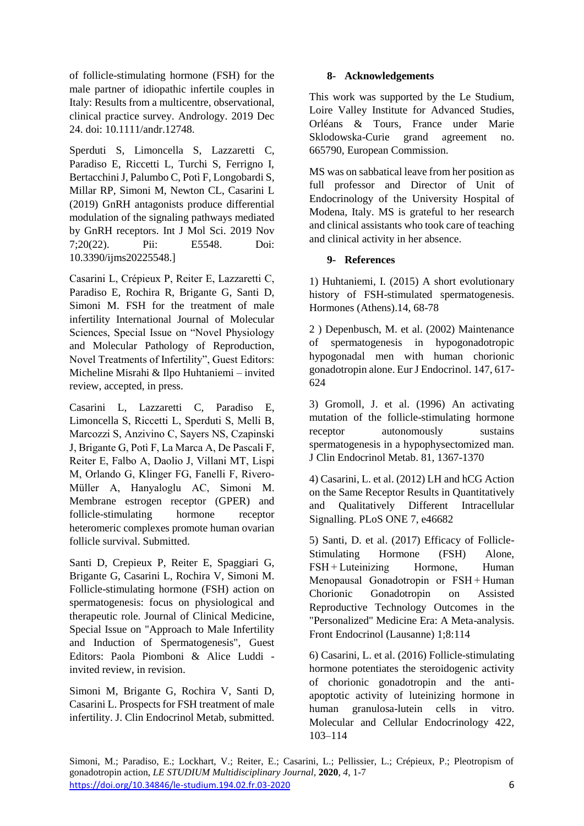of follicle-stimulating hormone (FSH) for the male partner of idiopathic infertile couples in Italy: Results from a multicentre, observational, clinical practice survey. Andrology. 2019 Dec 24. doi: 10.1111/andr.12748.

Sperduti S, Limoncella S, Lazzaretti C, Paradiso E, Riccetti L, Turchi S, Ferrigno I, Bertacchini J, Palumbo C, Potì F, Longobardi S, Millar RP, Simoni M, Newton CL, Casarini L (2019) GnRH antagonists produce differential modulation of the signaling pathways mediated by GnRH receptors. Int J Mol Sci. 2019 Nov 7;20(22). Pii: E5548. Doi: 10.3390/ijms20225548.]

Casarini L, Crépieux P, Reiter E, Lazzaretti C, Paradiso E, Rochira R, Brigante G, Santi D, Simoni M. FSH for the treatment of male infertility International Journal of Molecular Sciences, Special Issue on "Novel Physiology and Molecular Pathology of Reproduction, Novel Treatments of Infertility", Guest Editors: Micheline Misrahi & Ilpo Huhtaniemi – invited review, accepted, in press.

Casarini L, Lazzaretti C, Paradiso E, Limoncella S, Riccetti L, Sperduti S, Melli B, Marcozzi S, Anzivino C, Sayers NS, Czapinski J, Brigante G, Potì F, La Marca A, De Pascali F, Reiter E, Falbo A, Daolio J, Villani MT, Lispi M, Orlando G, Klinger FG, Fanelli F, Rivero-Müller A, Hanyaloglu AC, Simoni M. Membrane estrogen receptor (GPER) and follicle-stimulating hormone receptor heteromeric complexes promote human ovarian follicle survival. Submitted.

Santi D, Crepieux P, Reiter E, Spaggiari G, Brigante G, Casarini L, Rochira V, Simoni M. Follicle-stimulating hormone (FSH) action on spermatogenesis: focus on physiological and therapeutic role. Journal of Clinical Medicine, Special Issue on "Approach to Male Infertility and Induction of Spermatogenesis", Guest Editors: Paola Piomboni & Alice Luddi invited review, in revision.

Simoni M, Brigante G, Rochira V, Santi D, Casarini L. Prospects for FSH treatment of male infertility. J. Clin Endocrinol Metab, submitted.

## **8- Acknowledgements**

This work was supported by the Le Studium, Loire Valley Institute for Advanced Studies, Orléans & Tours, France under Marie Sklodowska-Curie grand agreement no. 665790, European Commission.

MS was on sabbatical leave from her position as full professor and Director of Unit of Endocrinology of the University Hospital of Modena, Italy. MS is grateful to her research and clinical assistants who took care of teaching and clinical activity in her absence.

## **9- References**

1) Huhtaniemi, I. (2015) A short evolutionary history of FSH-stimulated spermatogenesis. Hormones (Athens).14, 68-78

2 ) Depenbusch, M. et al. (2002) Maintenance of spermatogenesis in hypogonadotropic hypogonadal men with human chorionic gonadotropin alone. Eur J Endocrinol. 147, 617- 624

3) Gromoll, J. et al. (1996) An activating mutation of the follicle-stimulating hormone receptor autonomously sustains spermatogenesis in a hypophysectomized man. J Clin Endocrinol Metab. 81, 1367-1370

4) Casarini, L. et al. (2012) LH and hCG Action on the Same Receptor Results in Quantitatively and Qualitatively Different Intracellular Signalling. PLoS ONE 7, e46682

5) Santi, D. et al. (2017) Efficacy of Follicle-Stimulating Hormone (FSH) Alone, FSH + Luteinizing Hormone, Human Menopausal Gonadotropin or FSH + Human Chorionic Gonadotropin on Assisted Reproductive Technology Outcomes in the "Personalized" Medicine Era: A Meta-analysis. Front Endocrinol (Lausanne) 1;8:114

6) Casarini, L. et al. (2016) Follicle-stimulating hormone potentiates the steroidogenic activity of chorionic gonadotropin and the antiapoptotic activity of luteinizing hormone in human granulosa-lutein cells in vitro. Molecular and Cellular Endocrinology 422, 103–114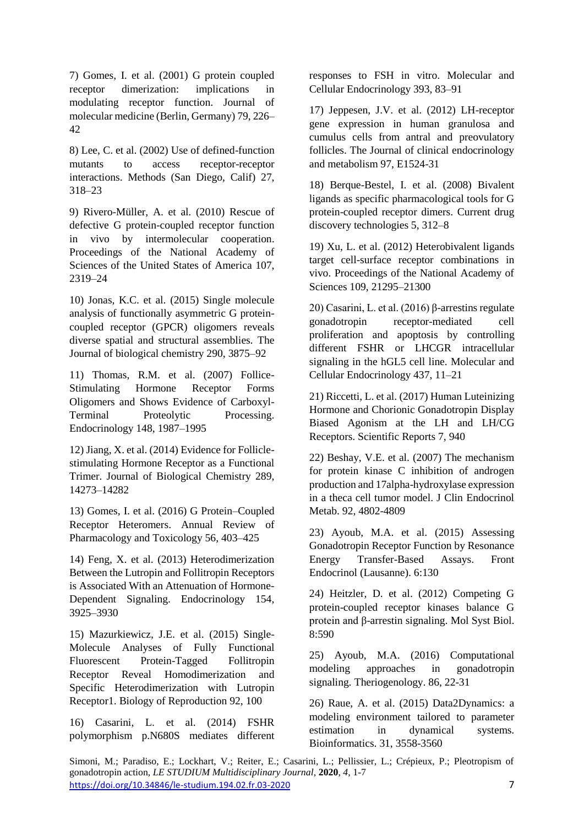7) Gomes, I. et al. (2001) G protein coupled receptor dimerization: implications in modulating receptor function. Journal of molecular medicine (Berlin, Germany) 79, 226– 42

8) Lee, C. et al. (2002) Use of defined-function mutants to access receptor-receptor interactions. Methods (San Diego, Calif) 27, 318–23

9) Rivero-Müller, A. et al. (2010) Rescue of defective G protein-coupled receptor function in vivo by intermolecular cooperation. Proceedings of the National Academy of Sciences of the United States of America 107, 2319–24

10) Jonas, K.C. et al. (2015) Single molecule analysis of functionally asymmetric G proteincoupled receptor (GPCR) oligomers reveals diverse spatial and structural assemblies. The Journal of biological chemistry 290, 3875–92

11) Thomas, R.M. et al. (2007) Follice-Stimulating Hormone Receptor Forms Oligomers and Shows Evidence of Carboxyl-Terminal Proteolytic Processing. Endocrinology 148, 1987–1995

12) Jiang, X. et al. (2014) Evidence for Folliclestimulating Hormone Receptor as a Functional Trimer. Journal of Biological Chemistry 289, 14273–14282

13) Gomes, I. et al. (2016) G Protein–Coupled Receptor Heteromers. Annual Review of Pharmacology and Toxicology 56, 403–425

14) Feng, X. et al. (2013) Heterodimerization Between the Lutropin and Follitropin Receptors is Associated With an Attenuation of Hormone-Dependent Signaling. Endocrinology 154, 3925–3930

15) Mazurkiewicz, J.E. et al. (2015) Single-Molecule Analyses of Fully Functional Fluorescent Protein-Tagged Follitropin Receptor Reveal Homodimerization and Specific Heterodimerization with Lutropin Receptor1. Biology of Reproduction 92, 100

16) Casarini, L. et al. (2014) FSHR polymorphism p.N680S mediates different responses to FSH in vitro. Molecular and Cellular Endocrinology 393, 83–91

17) Jeppesen, J.V. et al. (2012) LH-receptor gene expression in human granulosa and cumulus cells from antral and preovulatory follicles. The Journal of clinical endocrinology and metabolism 97, E1524-31

18) Berque-Bestel, I. et al. (2008) Bivalent ligands as specific pharmacological tools for G protein-coupled receptor dimers. Current drug discovery technologies 5, 312–8

19) Xu, L. et al. (2012) Heterobivalent ligands target cell-surface receptor combinations in vivo. Proceedings of the National Academy of Sciences 109, 21295–21300

20) Casarini, L. et al. (2016) β-arrestins regulate gonadotropin receptor-mediated cell proliferation and apoptosis by controlling different FSHR or LHCGR intracellular signaling in the hGL5 cell line. Molecular and Cellular Endocrinology 437, 11–21

21) Riccetti, L. et al. (2017) Human Luteinizing Hormone and Chorionic Gonadotropin Display Biased Agonism at the LH and LH/CG Receptors. Scientific Reports 7, 940

22) Beshay, V.E. et al. (2007) The mechanism for protein kinase C inhibition of androgen production and 17alpha-hydroxylase expression in a theca cell tumor model. J Clin Endocrinol Metab. 92, 4802-4809

23) Ayoub, M.A. et al. (2015) Assessing Gonadotropin Receptor Function by Resonance Energy Transfer-Based Assays. Front Endocrinol (Lausanne). 6:130

24) Heitzler, D. et al. (2012) Competing G protein-coupled receptor kinases balance G protein and β-arrestin signaling. Mol Syst Biol. 8:590

25) Ayoub, M.A. (2016) Computational modeling approaches in gonadotropin signaling. Theriogenology. 86, 22-31

26) Raue, A. et al. (2015) Data2Dynamics: a modeling environment tailored to parameter estimation in dynamical systems. Bioinformatics. 31, 3558-3560